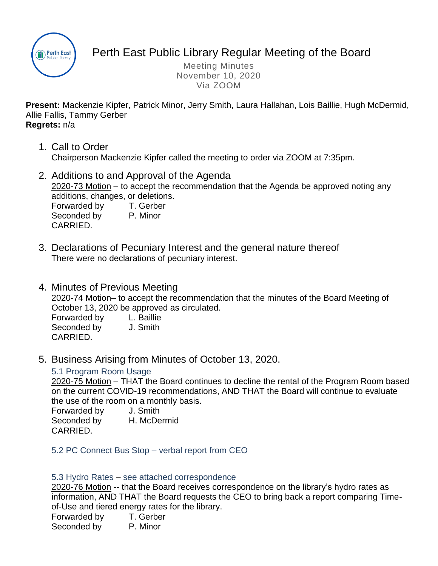

# Perth East Public Library Regular Meeting of the Board

Meeting Minutes November 10, 2020 Via ZOOM

**Present:** Mackenzie Kipfer, Patrick Minor, Jerry Smith, Laura Hallahan, Lois Baillie, Hugh McDermid, Allie Fallis, Tammy Gerber **Regrets:** n/a

- 1. Call to Order Chairperson Mackenzie Kipfer called the meeting to order via ZOOM at 7:35pm.
- 2. Additions to and Approval of the Agenda 2020-73 Motion – to accept the recommendation that the Agenda be approved noting any additions, changes, or deletions. Forwarded by T. Gerber Seconded by P. Minor
- 3. Declarations of Pecuniary Interest and the general nature thereof There were no declarations of pecuniary interest.
- 4. Minutes of Previous Meeting

2020-74 Motion– to accept the recommendation that the minutes of the Board Meeting of October 13, 2020 be approved as circulated.

Forwarded by L. Baillie Seconded by J. Smith CARRIED.

5. Business Arising from Minutes of October 13, 2020.

## 5.1 Program Room Usage

2020-75 Motion – THAT the Board continues to decline the rental of the Program Room based on the current COVID-19 recommendations, AND THAT the Board will continue to evaluate the use of the room on a monthly basis.

Forwarded by J. Smith Seconded by H. McDermid

CARRIED.

CARRIED.

5.2 PC Connect Bus Stop – verbal report from CEO

#### 5.3 Hydro Rates – see attached correspondence

2020-76 Motion -- that the Board receives correspondence on the library's hydro rates as information, AND THAT the Board requests the CEO to bring back a report comparing Timeof-Use and tiered energy rates for the library.

Forwarded by T. Gerber Seconded by P. Minor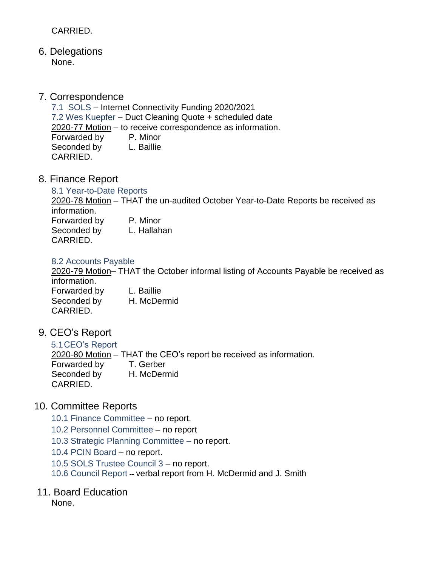## CARRIED.

6. Delegations None.

## 7. Correspondence

7.1 SOLS – Internet Connectivity Funding 2020/2021 7.2 Wes Kuepfer – Duct Cleaning Quote + scheduled date 2020-77 Motion – to receive correspondence as information. Forwarded by P. Minor Seconded by L. Baillie CARRIED.

8. Finance Report

#### 8.1 Year-to-Date Reports

2020-78 Motion – THAT the un-audited October Year-to-Date Reports be received as information. Forwarded by P. Minor Seconded by L. Hallahan CARRIED.

#### 8.2 Accounts Payable

2020-79 Motion– THAT the October informal listing of Accounts Payable be received as information. Forwarded by L. Baillie Seconded by H. McDermid CARRIED.

9. CEO's Report

5.1CEO's Report 2020-80 Motion – THAT the CEO's report be received as information. Forwarded by T. Gerber Seconded by H. McDermid CARRIED.

## 10. Committee Reports

- 10.1 Finance Committee no report.
- 10.2 Personnel Committee no report
- 10.3 Strategic Planning Committee no report.
- 10.4 PCIN Board no report.
- 10.5 SOLS Trustee Council 3 no report.
- 10.6 Council Report **--** verbal report from H. McDermid and J. Smith

## 11. Board Education

None.